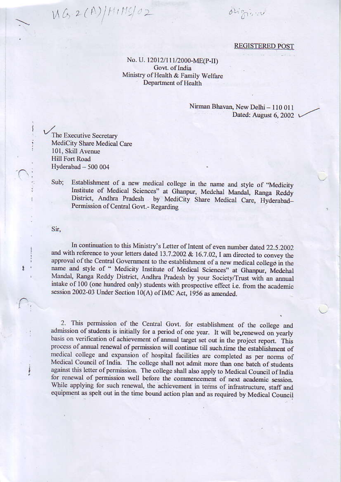$MS2(A)/HM5/02$ 

driggies

## **REGISTERED POST**

## No. U. 12012/111/2000-ME(P-II) Govt. of India Ministry of Health & Family Welfare Department of Health

## Nirman Bhavan, New Delhi - 110 011 Dated: August 6, 2002 \

The Executive Secretary MediCity Share Medical Care 101, Skill Avenue **Hill Fort Road** Hyderabad - 500 004

Establishment of a new medical college in the name and style of "Medicity Sub: Institute of Medical Sciences" at Ghanpur, Medchal Mandal, Ranga Reddy District, Andhra Pradesh by MediCity Share Medical Care, Hyderabad-Permission of Central Govt.- Regarding

Sir.

ŧ

i

In continuation to this Ministry's Letter of Intent of even number dated 22.5.2002. and with reference to your letters dated 13.7.2002 & 16.7.02, I am directed to convey the approval of the Central Government to the establishment of a new medical college in the name and style of " Medicity Institute of Medical Sciences" at Ghanpur, Medchal Mandal, Ranga Reddy District, Andhra Pradesh by your Society/Trust with an annual intake of 100 (one hundred only) students with prospective effect i.e. from the academic session 2002-03 Under Section 10(A) of IMC Act, 1956 as amended.

2. This permission of the Central Govt. for establishment of the college and admission of students is initially for a period of one year. It will be renewed on yearly basis on verification of achievement of annual target set out in the project report. This process of annual renewal of permission will continue till such, time the establishment of medical college and expansion of hospital facilities are completed as per norms of Medical Council of India. The college shall not admit more than one batch of students against this letter of permission. The college shall also apply to Medical Council of India for renewal of permission well before the commencement of next academic session. While applying for such renewal, the achievement in terms of infrastructure, staff and equipment as spelt out in the time bound action plan and as required by Medical Council